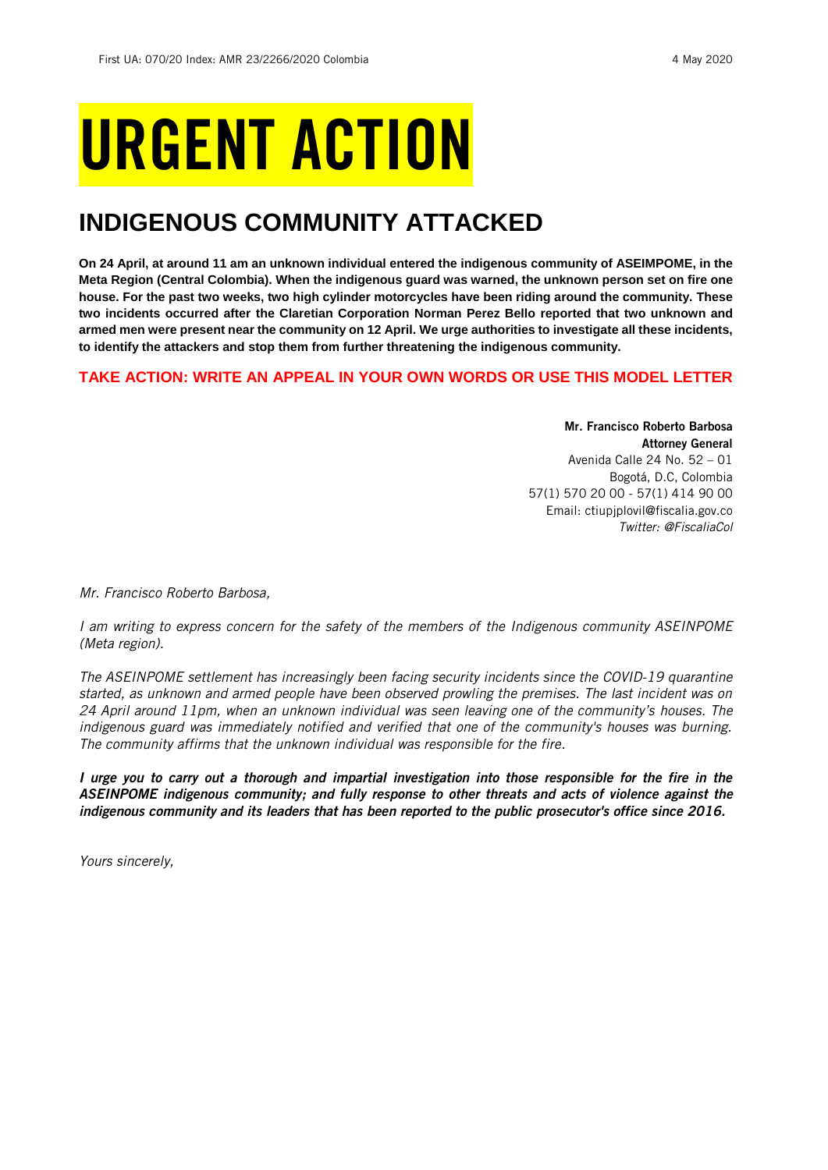# URGENT ACTION

## **INDIGENOUS COMMUNITY ATTACKED**

**On 24 April, at around 11 am an unknown individual entered the indigenous community of ASEIMPOME, in the Meta Region (Central Colombia). When the indigenous guard was warned, the unknown person set on fire one house. For the past two weeks, two high cylinder motorcycles have been riding around the community. These two incidents occurred after the Claretian Corporation Norman Perez Bello reported that two unknown and armed men were present near the community on 12 April. We urge authorities to investigate all these incidents, to identify the attackers and stop them from further threatening the indigenous community.** 

## **TAKE ACTION: WRITE AN APPEAL IN YOUR OWN WORDS OR USE THIS MODEL LETTER**

Mr. Francisco Roberto Barbosa Attorney General Avenida Calle 24 No. 52 – 01 Bogotá, D.C, Colombia 57(1) 570 20 00 - 57(1) 414 90 00 Email: ctiupjplovil@fiscalia.gov.co *Twitter: @FiscaliaCol*

*Mr. Francisco Roberto Barbosa,*

*I am writing to express concern for the safety of the members of the Indigenous community ASEINPOME (Meta region).*

*The ASEINPOME settlement has increasingly been facing security incidents since the COVID-19 quarantine started, as unknown and armed people have been observed prowling the premises. The last incident was on*  24 April around 11pm, when an unknown individual was seen leaving one of the community's houses. The *indigenous guard was immediately notified and verified that one of the community's houses was burning. The community affirms that the unknown individual was responsible for the fire.*

*I urge you to carry out a thorough and impartial investigation into those responsible for the fire in the ASEINPOME indigenous community; and fully response to other threats and acts of violence against the indigenous community and its leaders that has been reported to the public prosecutor's office since 2016.*

*Yours sincerely,*